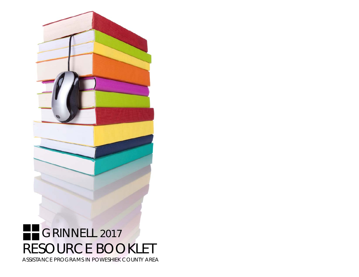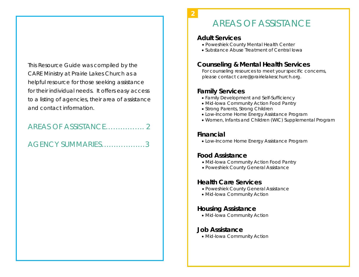This Resource Guide was compiled by the CARE Ministry at Prairie Lakes Church as a helpful resource for those seeking assistance for their individual needs. It offers easy access to a listing of agencies, their area of assistance and contact information.

## AREAS OF ASSISTANCE……………. 2

## AGENCY SUMMARIES………………3

# AREAS OF ASSISTANCE

#### **Adult Services**

**2** 

- Poweshiek County Mental Health Center
- Substance Abuse Treatment of Central Iowa

#### **Counseling & Mental Health Services**

For counseling resources to meet your specific concerns, please contact *care@prairielakeschurch.org*.

#### **Family Services**

- Family Development and Self-Sufficiency
- Mid-Iowa Community Action Food Pantry
- Strong Parents, Strong Children
- Low-Income Home Energy Assistance Program
- Women, Infants and Children (WIC) Supplemental Program

#### **Financial**

Low-Income Home Energy Assistance Program

#### **Food Assistance**

- Mid-Iowa Community Action Food Pantry
- Poweshiek County General Assistance

#### **Health Care Services**

- Poweshiek County General Assistance
- Mid-Iowa Community Action

### **Housing Assistance**

Mid-Iowa Community Action

#### **Job Assistance**

• Mid-Iowa Community Action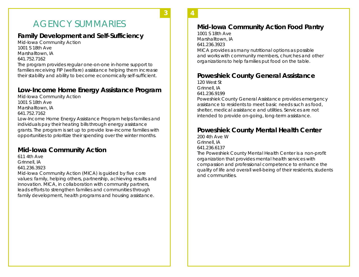# AGENCY SUMMARIES

**3 3**

## **Family Development and Self-Sufficiency**

Mid-Iowa Community Action 1001 S 18th Ave Marshalltown, IA 641.752.7162

The program provides regular one-on-one in-home support to families receiving FIP (welfare) assistance helping them increase their stability and ability to become economically self-sufficient.

### **Low-Income Home Energy Assistance Program**

Mid-Iowa Community Action 1001 S 18th Ave Marshalltown, IA 641.752.7162 Low-Income Home Energy Assistance Program helps families and individuals pay their heating bills through energy assistance grants. The program is set up to provide low-income families with opportunities to prioritize their spending over the winter months.

### **Mid-Iowa Community Action**

611 4th Ave Grinnell, IA

641.236.3923

Mid-Iowa Community Action (MICA) is guided by five core values: family, helping others, partnership, achieving results and innovation. MICA, in collaboration with community partners, leads efforts to strengthen families and communities through family development, health programs and housing assistance.

**4**

### **Mid-Iowa Community Action Food Pantry**

**4** 

1001 S 18th Ave Marshalltown, IA 641.236.3923

MICA provides as many nutritional options as possible and works with community members, churches and other organizations to help families put food on the table.

## **Poweshiek County General Assistance**

120 West St Grinnell, IA 641.236.9199

Poweshiek County General Assistance provides emergency assistance to residents to meet basic needs such as food, shelter, medical assistance and utilities. Services are not intended to provide on-going, long-term assistance.

### **Poweshiek County Mental Health Center**

200 4th Ave W Grinnell, IA 641.236.6137 The Poweshiek County Mental Health Center is a non-profit organization that provides mental health services with compassion and professional competence to enhance the quality of life and overall well-being of their residents, students and communities.